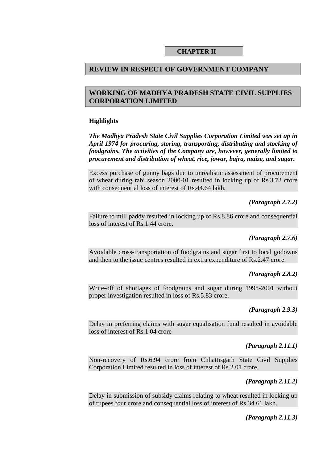#### **CHAPTER II**

### **REVIEW IN RESPECT OF GOVERNMENT COMPANY**

# **WORKING OF MADHYA PRADESH STATE CIVIL SUPPLIES CORPORATION LIMITED**

### **Highlights**

*The Madhya Pradesh State Civil Supplies Corporation Limited was set up in April 1974 for procuring, storing, transporting, distributing and stocking of foodgrains. The activities of the Company are, however, generally limited to procurement and distribution of wheat, rice, jowar, bajra, maize, and sugar.* 

Excess purchase of gunny bags due to unrealistic assessment of procurement of wheat during rabi season 2000-01 resulted in locking up of Rs.3.72 crore with consequential loss of interest of Rs.44.64 lakh.

### *(Paragraph 2.7.2)*

Failure to mill paddy resulted in locking up of Rs.8.86 crore and consequential loss of interest of Rs.1.44 crore.

### *(Paragraph 2.7.6)*

Avoidable cross-transportation of foodgrains and sugar first to local godowns and then to the issue centres resulted in extra expenditure of Rs.2.47 crore.

### *(Paragraph 2.8.2)*

Write-off of shortages of foodgrains and sugar during 1998-2001 without proper investigation resulted in loss of Rs.5.83 crore.

#### *(Paragraph 2.9.3)*

Delay in preferring claims with sugar equalisation fund resulted in avoidable loss of interest of Rs.1.04 crore

#### *(Paragraph 2.11.1)*

Non-recovery of Rs.6.94 crore from Chhattisgarh State Civil Supplies Corporation Limited resulted in loss of interest of Rs.2.01 crore.

#### *(Paragraph 2.11.2)*

Delay in submission of subsidy claims relating to wheat resulted in locking up of rupees four crore and consequential loss of interest of Rs.34.61 lakh.

#### *(Paragraph 2.11.3)*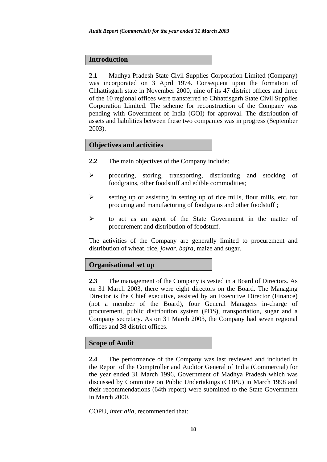### **Introduction**

**2.1** Madhya Pradesh State Civil Supplies Corporation Limited (Company) was incorporated on 3 April 1974. Consequent upon the formation of Chhattisgarh state in November 2000, nine of its 47 district offices and three of the 10 regional offices were transferred to Chhattisgarh State Civil Supplies Corporation Limited. The scheme for reconstruction of the Company was pending with Government of India (GOI) for approval. The distribution of assets and liabilities between these two companies was in progress (September 2003).

# **Objectives and activities**

- **2.2** The main objectives of the Company include:
- $\triangleright$  procuring, storing, transporting, distributing and stocking of foodgrains, other foodstuff and edible commodities;
- $\triangleright$  setting up or assisting in setting up of rice mills, flour mills, etc. for procuring and manufacturing of foodgrains and other foodstuff ;
- ! to act as an agent of the State Government in the matter of procurement and distribution of foodstuff.

The activities of the Company are generally limited to procurement and distribution of wheat, rice, *jowar, bajra*, maize and sugar.

### **Organisational set up**

**2.3** The management of the Company is vested in a Board of Directors. As on 31 March 2003, there were eight directors on the Board. The Managing Director is the Chief executive, assisted by an Executive Director (Finance) (not a member of the Board), four General Managers in-charge of procurement, public distribution system (PDS), transportation, sugar and a Company secretary. As on 31 March 2003, the Company had seven regional offices and 38 district offices.

# **Scope of Audit**

**2.4** The performance of the Company was last reviewed and included in the Report of the Comptroller and Auditor General of India (Commercial) for the year ended 31 March 1996, Government of Madhya Pradesh which was discussed by Committee on Public Undertakings (COPU) in March 1998 and their recommendations (64th report) were submitted to the State Government in March 2000.

COPU, *inter alia*, recommended that: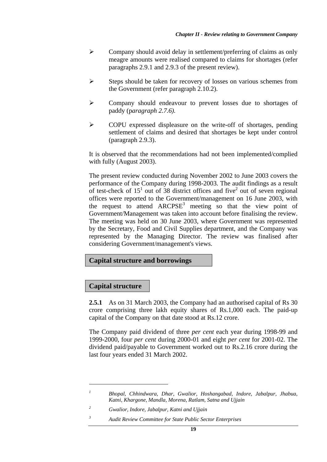- $\triangleright$  Company should avoid delay in settlement/preferring of claims as only meagre amounts were realised compared to claims for shortages (refer paragraphs 2.9.1 and 2.9.3 of the present review).
- $\triangleright$  Steps should be taken for recovery of losses on various schemes from the Government (refer paragraph 2.10.2).
- ! Company should endeavour to prevent losses due to shortages of paddy (p*aragraph 2.7.6).*
- ! COPU expressed displeasure on the write-off of shortages, pending settlement of claims and desired that shortages be kept under control (paragraph 2.9.3).

It is observed that the recommendations had not been implemented/complied with fully (August 2003).

The present review conducted during November 2002 to June 2003 covers the performance of the Company during 1998-2003. The audit findings as a result of test-check of  $15<sup>1</sup>$  out of 38 district offices and five<sup>2</sup> out of seven regional offices were reported to the Government/management on 16 June 2003, with the request to attend  $ARCPSE<sup>3</sup>$  meeting so that the view point of Government/Management was taken into account before finalising the review. The meeting was held on 30 June 2003, where Government was represented by the Secretary, Food and Civil Supplies department, and the Company was represented by the Managing Director. The review was finalised after considering Government/management's views.

# **Capital structure and borrowings**

# **Capital structure**

 $\overline{a}$ 

**2.5.1** As on 31 March 2003, the Company had an authorised capital of Rs 30 crore comprising three lakh equity shares of Rs.1,000 each. The paid-up capital of the Company on that date stood at Rs.12 crore.

The Company paid dividend of three *per cent* each year during 1998-99 and 1999-2000, four *per cent* during 2000-01 and eight *per cent* for 2001-02. The dividend paid/payable to Government worked out to Rs.2.16 crore during the last four years ended 31 March 2002.

*3 Audit Review Committee for State Public Sector Enterprises* 

*<sup>1</sup> Bhopal, Chhindwara, Dhar, Gwalior, Hoshangabad, Indore, Jabalpur, Jhabua, Katni, Khargone, Mandla, Morena, Ratlam, Satna and Ujjain* 

*<sup>2</sup> Gwalior, Indore, Jabalpur, Katni and Ujjain*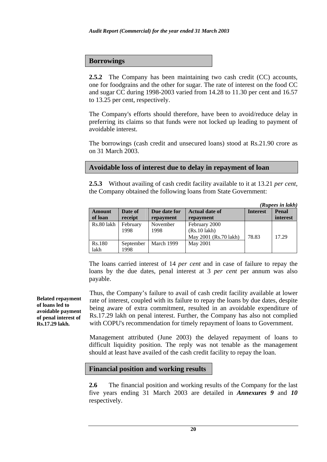#### **Borrowings**

**2.5.2** The Company has been maintaining two cash credit (CC) accounts, one for foodgrains and the other for sugar. The rate of interest on the food CC and sugar CC during 1998-2003 varied from 14.28 to 11.30 per cent and 16.57 to 13.25 per cent, respectively.

The Company's efforts should therefore, have been to avoid/reduce delay in preferring its claims so that funds were not locked up leading to payment of avoidable interest.

The borrowings (cash credit and unsecured loans) stood at Rs.21.90 crore as on 31 March 2003.

# **Avoidable loss of interest due to delay in repayment of loan**

**2.5.3** Without availing of cash credit facility available to it at 13.21 *per cent,* the Company obtained the following loans from State Government:

|            |           |              |                       |                 | (Rupees in lakh) |
|------------|-----------|--------------|-----------------------|-----------------|------------------|
| Amount     | Date of   | Due date for | <b>Actual date of</b> | <b>Interest</b> | Penal            |
| of loan    | receipt   | repayment    | repayment             |                 | <i>interest</i>  |
| Rs.80 lakh | February  | November     | February 2000         |                 |                  |
|            | 1998      | 1998         | $(Rs.10$ lakh $)$     |                 |                  |
|            |           |              | May 2001 (Rs.70 lakh) | 78.83           | 17.29            |
| Rs.180     | September | March 1999   | May 2001              |                 |                  |
| lakh       | 1998      |              |                       |                 |                  |

The loans carried interest of 14 *per cent* and in case of failure to repay the loans by the due dates, penal interest at 3 *per cent* per annum was also payable.

Thus, the Company's failure to avail of cash credit facility available at lower rate of interest, coupled with its failure to repay the loans by due dates, despite being aware of extra commitment, resulted in an avoidable expenditure of Rs.17.29 lakh on penal interest. Further, the Company has also not complied with COPU's recommendation for timely repayment of loans to Government.

Management attributed (June 2003) the delayed repayment of loans to difficult liquidity position. The reply was not tenable as the management should at least have availed of the cash credit facility to repay the loan.

# **Financial position and working results**

**2.6** The financial position and working results of the Company for the last five years ending 31 March 2003 are detailed in *Annexures 9* and *10* respectively.

**Belated repayment of loans led to avoidable payment of penal interest of Rs.17.29 lakh.**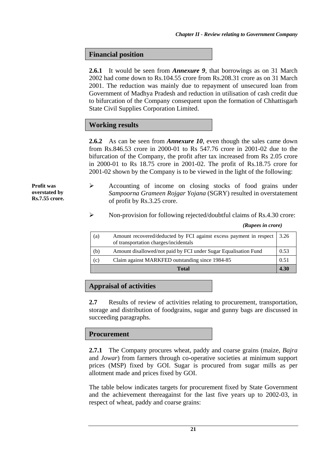# **Financial position**

**2.6.1** It would be seen from *Annexure 9*, that borrowings as on 31 March 2002 had come down to Rs.104.55 crore from Rs.208.31 crore as on 31 March 2001. The reduction was mainly due to repayment of unsecured loan from Government of Madhya Pradesh and reduction in utilisation of cash credit due to bifurcation of the Company consequent upon the formation of Chhattisgarh State Civil Supplies Corporation Limited.

# **Working results**

**2.6.2** As can be seen from *Annexure 10*, even though the sales came down from Rs.846.53 crore in 2000-01 to Rs 547.76 crore in 2001-02 due to the bifurcation of the Company, the profit after tax increased from Rs 2.05 crore in 2000-01 to Rs 18.75 crore in 2001-02. The profit of Rs.18.75 crore for 2001-02 shown by the Company is to be viewed in the light of the following:

**Profit was overstated by Rs.7.55 crore.** 

- $\triangleright$  Accounting of income on closing stocks of food grains under *Sampoorna Grameen Rojgar Yojana* (SGRY) resulted in overstatement of profit by Rs.3.25 crore.
- $\triangleright$  Non-provision for following rejected/doubtful claims of Rs.4.30 crore:

| (a) | Amount recovered/deducted by FCI against excess payment in respect<br>of transportation charges/incidentals | 3.26 |
|-----|-------------------------------------------------------------------------------------------------------------|------|
| (b) | Amount disallowed/not paid by FCI under Sugar Equalisation Fund                                             | 0.53 |
| (c) | Claim against MARKFED outstanding since 1984-85                                                             | 0.51 |
|     | <b>Total</b>                                                                                                | 4.30 |

#### *(Rupees in crore)*

### **Appraisal of activities**

**2.7** Results of review of activities relating to procurement, transportation, storage and distribution of foodgrains, sugar and gunny bags are discussed in succeeding paragraphs.

### **Procurement**

**2.7.1** The Company procures wheat, paddy and coarse grains (maize, *Bajra* and *Jowar*) from farmers through co-operative societies at minimum support prices (MSP) fixed by GOI. Sugar is procured from sugar mills as per allotment made and prices fixed by GOI.

The table below indicates targets for procurement fixed by State Government and the achievement thereagainst for the last five years up to 2002-03, in respect of wheat, paddy and coarse grains: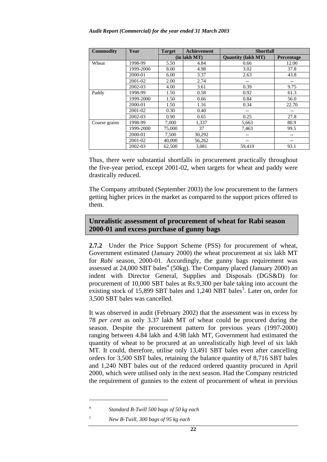| <b>Commodity</b> | Year      | <b>Target</b> | <b>Achievement</b> | <b>Shortfall</b>          |            |
|------------------|-----------|---------------|--------------------|---------------------------|------------|
|                  |           |               | $(in$ lakh MT $)$  | <b>Quantity (lakh MT)</b> | Percentage |
| Wheat            | 1998-99   | 5.50          | 4.84               | 0.66                      | 12.00      |
|                  | 1999-2000 | 8.00          | 4.98               | 3.02                      | 37.8       |
|                  | 2000-01   | 6.00          | 3.37               | 2.63                      | 43.8       |
|                  | 2001-02   | 2.00          | 2.74               |                           |            |
|                  | 2002-03   | 4.00          | 3.61               | 0.39                      | 9.75       |
| Paddy            | 1998-99   | 1.50          | 0.58               | 0.92                      | 61.3       |
|                  | 1999-2000 | 1.50          | 0.66               | 0.84                      | 56.0       |
|                  | 2000-01   | 1.50          | 1.16               | 0.34                      | 22.70      |
|                  | 2001-02   | 0.30          | 0.40               | $- -$                     |            |
|                  | 2002-03   | 0.90          | 0.65               | 0.25                      | 27.8       |
| Coarse grains    | 1998-99   | 7.000         | 1.337              | 5,663                     | 80.9       |
|                  | 1999-2000 | 75,000        | 37                 | 7,463                     | 99.5       |
|                  | 2000-01   | 7,500         | 30,292             | --                        |            |
|                  | 2001-02   | 40,000        | 56,262             | $ -$                      | --         |
|                  | 2002-03   | 62,500        | 3,081              | 59.419                    | 93.1       |

Thus, there were substantial shortfalls in procurement practically throughout the five-year period, except 2001-02, when targets for wheat and paddy were drastically reduced.

The Company attributed (September 2003) the low procurement to the farmers getting higher prices in the market as compared to the support prices offered to them.

# **Unrealistic assessment of procurement of wheat for Rabi season 2000-01 and excess purchase of gunny bags**

**2.7.2** Under the Price Support Scheme (PSS) for procurement of wheat, Government estimated (January 2000) the wheat procurement at six lakh MT for *Rabi* season, 2000-01. Accordingly, the gunny bags requirement was assessed at  $24,000$  SBT bales<sup>4</sup> (50kg). The Company placed (January 2000) an indent with Director General, Supplies and Disposals (DGS&D) for procurement of 10,000 SBT bales at Rs.9,300 per bale taking into account the existing stock of 15,899 SBT bales and 1,240 NBT bales<sup>5</sup>. Later on, order for 3,500 SBT bales was cancelled.

It was observed in audit (February 2002) that the assessment was in excess by 78 *per cent* as only 3.37 lakh MT of wheat could be procured during the season. Despite the procurement pattern for previous years (1997-2000) ranging between 4.84 lakh and 4.98 lakh MT, Government had estimated the quantity of wheat to be procured at an unrealistically high level of six lakh MT. It could, therefore, utilise only 13,491 SBT bales even after cancelling orders for 3,500 SBT bales, retaining the balance quantity of 8,716 SBT bales and 1,240 NBT bales out of the reduced ordered quantity procured in April 2000, which were utilised only in the next season. Had the Company restricted the requirement of gunnies to the extent of procurement of wheat in previous

*<sup>4</sup> Standard B-Twill 500 bags of 50 kg each* 

*<sup>5</sup> New B-Twill, 300 bags of 95 kg each*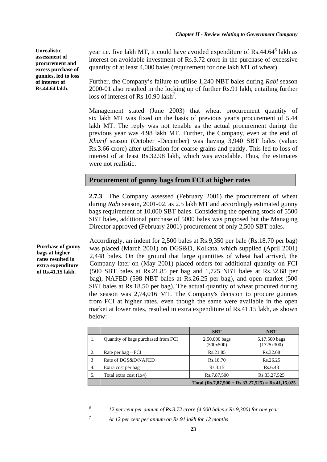**Unrealistic assessment of procurement and excess purchase of gunnies, led to loss of interest of Rs.44.64 lakh.** 

year i.e. five lakh MT, it could have avoided expenditure of Rs.44.64<sup>6</sup> lakh as interest on avoidable investment of Rs.3.72 crore in the purchase of excessive quantity of at least 4,000 bales (requirement for one lakh MT of wheat).

Further, the Company's failure to utilise 1,240 NBT bales during *Rabi* season 2000-01 also resulted in the locking up of further Rs.91 lakh, entailing further loss of interest of Rs  $10.90$  lakh<sup>7</sup>.

Management stated (June 2003) that wheat procurement quantity of six lakh MT was fixed on the basis of previous year's procurement of 5.44 lakh MT. The reply was not tenable as the actual procurement during the previous year was 4.98 lakh MT. Further, the Company, even at the end of *Kharif* season (October -December) was having 3,940 SBT bales (value: Rs.3.66 crore) after utilisation for coarse grains and paddy. This led to loss of interest of at least Rs.32.98 lakh, which was avoidable. Thus, the estimates were not realistic.

# **Procurement of gunny bags from FCI at higher rates**

**2.7.3** The Company assessed (February 2001) the procurement of wheat during *Rabi* season, 2001-02, as 2.5 lakh MT and accordingly estimated gunny bags requirement of 10,000 SBT bales. Considering the opening stock of 5500 SBT bales, additional purchase of 5000 bales was proposed but the Managing Director approved (February 2001) procurement of only 2,500 SBT bales.

Accordingly, an indent for 2,500 bales at Rs.9,350 per bale (Rs.18.70 per bag) was placed (March 2001) on DGS&D, Kolkata, which supplied (April 2001) 2,448 bales. On the ground that large quantities of wheat had arrived, the Company later on (May 2001) placed orders for additional quantity on FCI (500 SBT bales at Rs.21.85 per bag and 1,725 NBT bales at Rs.32.68 per bag), NAFED (598 NBT bales at Rs.26.25 per bag), and open market (500 SBT bales at Rs.18.50 per bag). The actual quantity of wheat procured during the season was 2,74,016 MT. The Company's decision to procure gunnies from FCI at higher rates, even though the same were available in the open market at lower rates, resulted in extra expenditure of Rs.41.15 lakh, as shown below:

|    |                                                     | <b>SBT</b>                 | <b>NBT</b>                  |  |  |  |  |
|----|-----------------------------------------------------|----------------------------|-----------------------------|--|--|--|--|
| 1. | Quantity of bags purchased from FCI                 | 2,50,000 bags<br>(500x500) | 5,17,500 bags<br>(1725x300) |  |  |  |  |
| 2. | Rate per bag $-$ FCI                                | Rs.21.85                   | Rs.32.68                    |  |  |  |  |
| 3  | Rate of DGS&D/NAFED                                 | Rs.18.70                   | Rs.26.25                    |  |  |  |  |
| 4. | Extra cost per bag                                  | Rs.3.15                    | Rs.6.43                     |  |  |  |  |
| 5. | Total extra cost (1x4)                              | Rs.7,87,500                | Rs.33,27,525                |  |  |  |  |
|    | Total $(Rs.7,87,500 + Rs.33,27,525) = Rs.41,15,025$ |                            |                             |  |  |  |  |

*<sup>6</sup> 12 per cent per annum of Rs.3.72 crore (4,000 bales x Rs.9,300) for one year* 

**Purchase of gunny bags at higher rates resulted in extra expenditure of Rs.41.15 lakh.** 

 $\overline{a}$ 

*7*

*At 12 per cent per annum on Rs.91 lakh for 12 months*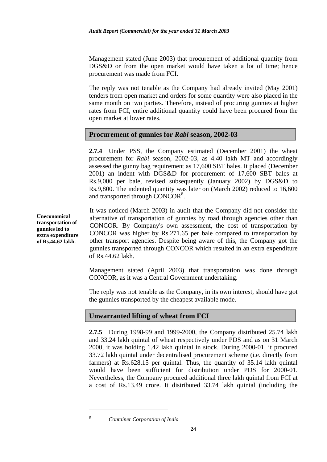Management stated (June 2003) that procurement of additional quantity from DGS&D or from the open market would have taken a lot of time; hence procurement was made from FCI.

The reply was not tenable as the Company had already invited (May 2001) tenders from open market and orders for some quantity were also placed in the same month on two parties. Therefore, instead of procuring gunnies at higher rates from FCI, entire additional quantity could have been procured from the open market at lower rates.

# **Procurement of gunnies for** *Rabi* **season, 2002-03**

**2.7.4** Under PSS, the Company estimated (December 2001) the wheat procurement for *Rabi* season, 2002-03, as 4.40 lakh MT and accordingly assessed the gunny bag requirement as 17,600 SBT bales. It placed (December 2001) an indent with DGS&D for procurement of 17,600 SBT bales at Rs.9,000 per bale, revised subsequently (January 2002) by DGS&D to Rs.9,800. The indented quantity was later on (March 2002) reduced to 16,600 and transported through CONCOR<sup>8</sup>.

**Uneconomical transportation of gunnies led to extra expenditure of Rs.44.62 lakh.** 

It was noticed (March 2003) in audit that the Company did not consider the alternative of transportation of gunnies by road through agencies other than CONCOR. By Company's own assessment, the cost of transportation by CONCOR was higher by Rs.271.65 per bale compared to transportation by other transport agencies. Despite being aware of this, the Company got the gunnies transported through CONCOR which resulted in an extra expenditure of Rs.44.62 lakh.

Management stated (April 2003) that transportation was done through CONCOR, as it was a Central Government undertaking.

The reply was not tenable as the Company, in its own interest, should have got the gunnies transported by the cheapest available mode.

# **Unwarranted lifting of wheat from FCI**

**2.7.5** During 1998-99 and 1999-2000, the Company distributed 25.74 lakh and 33.24 lakh quintal of wheat respectively under PDS and as on 31 March 2000, it was holding 1.42 lakh quintal in stock. During 2000-01, it procured 33.72 lakh quintal under decentralised procurement scheme (i.e. directly from farmers) at Rs.628.15 per quintal. Thus, the quantity of 35.14 lakh quintal would have been sufficient for distribution under PDS for 2000-01. Nevertheless, the Company procured additional three lakh quintal from FCI at a cost of Rs.13.49 crore. It distributed 33.74 lakh quintal (including the

*Container Corporation of India*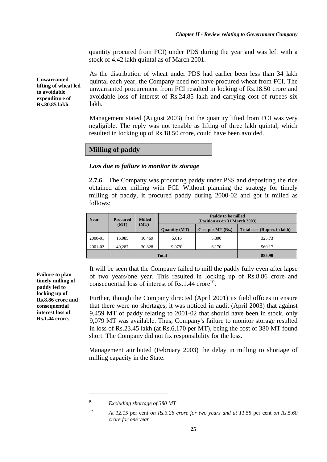quantity procured from FCI) under PDS during the year and was left with a stock of 4.42 lakh quintal as of March 2001.

As the distribution of wheat under PDS had earlier been less than 34 lakh quintal each year, the Company need not have procured wheat from FCI. The unwarranted procurement from FCI resulted in locking of Rs.18.50 crore and avoidable loss of interest of Rs.24.85 lakh and carrying cost of rupees six lakh.

Management stated (August 2003) that the quantity lifted from FCI was very negligible. The reply was not tenable as lifting of three lakh quintal, which resulted in locking up of Rs.18.50 crore, could have been avoided.

#### **Milling of paddy**

#### *Loss due to failure to monitor its storage*

**2.7.6** The Company was procuring paddy under PSS and depositing the rice obtained after milling with FCI. Without planning the strategy for timely milling of paddy, it procured paddy during 2000-02 and got it milled as follows:

| Year    | <b>Procured</b> | <b>Milled</b> | Paddy to be milled<br>(Position as on 31 March 2003) |                     |                                    |  |  |  |
|---------|-----------------|---------------|------------------------------------------------------|---------------------|------------------------------------|--|--|--|
|         | (MT)            | (MT)          | <b>Ouantity (MT)</b>                                 | Cost per MT $(Rs.)$ | <b>Total cost (Rupees in lakh)</b> |  |  |  |
| 2000-01 | 16.085          | 10.469        | 5,616                                                | 5,800               | 325.73                             |  |  |  |
| 2001-02 | 40,287          | 30,828        | $9.079^9$                                            | 6,170               | 560.17                             |  |  |  |
|         |                 | 885.90        |                                                      |                     |                                    |  |  |  |

It will be seen that the Company failed to mill the paddy fully even after lapse of two years/one year. This resulted in locking up of Rs.8.86 crore and consequential loss of interest of Rs.1.44  $\text{core}^{10}$ .

Further, though the Company directed (April 2001) its field offices to ensure that there were no shortages, it was noticed in audit (April 2003) that against 9,459 MT of paddy relating to 2001-02 that should have been in stock, only 9,079 MT was available. Thus, Company's failure to monitor storage resulted in loss of Rs.23.45 lakh (at Rs.6,170 per MT), being the cost of 380 MT found short. The Company did not fix responsibility for the loss.

Management attributed (February 2003) the delay in milling to shortage of milling capacity in the State.

 $\overline{a}$ 

**Failure to plan timely milling of paddy led to locking up of Rs.8.86 crore and consequential interest loss of Rs.1.44 crore.** 

**Unwarranted lifting of wheat led to avoidable expenditure of Rs.30.85 lakh.** 

*<sup>9</sup> Excluding shortage of 380 MT* 

*<sup>10</sup> At 12.15* per cent *on Rs.3.26 crore for two years and at 11.55* per cent *on Rs.5.60 crore for one year*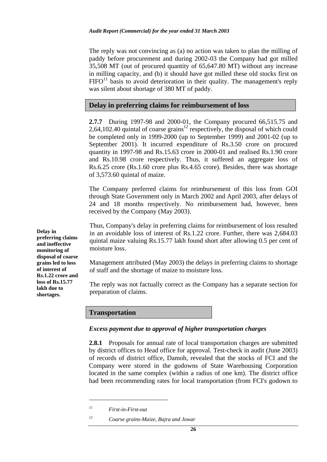The reply was not convincing as (a) no action was taken to plan the milling of paddy before procurement and during 2002-03 the Company had got milled 35,508 MT (out of procured quantity of 65,647.80 MT) without any increase in milling capacity, and (b) it should have got milled these old stocks first on  $FIFO<sup>11</sup> basis to avoid determination in their quality. The management's reply$ was silent about shortage of 380 MT of paddy.

# **Delay in preferring claims for reimbursement of loss**

**2.7.7** During 1997-98 and 2000-01, the Company procured 66,515.75 and 2,64,102.40 quintal of coarse grains<sup>12</sup> respectively, the disposal of which could be completed only in 1999-2000 (up to September 1999) and 2001-02 (up to September 2001). It incurred expenditure of Rs.3.50 crore on procured quantity in 1997-98 and Rs.15.63 crore in 2000-01 and realised Rs.1.90 crore and Rs.10.98 crore respectively. Thus, it suffered an aggregate loss of Rs.6.25 crore (Rs.1.60 crore plus Rs.4.65 crore). Besides, there was shortage of 3,573.60 quintal of maize.

The Company preferred claims for reimbursement of this loss from GOI through State Government only in March 2002 and April 2003, after delays of 24 and 18 months respectively. No reimbursement had, however, been received by the Company (May 2003).

Thus, Company's delay in preferring claims for reimbursement of loss resulted in an avoidable loss of interest of Rs.1.22 crore. Further, there was 2,684.03 quintal maize valuing Rs.15.77 lakh found short after allowing 0.5 per cent of moisture loss.

Management attributed (May 2003) the delays in preferring claims to shortage of staff and the shortage of maize to moisture loss.

The reply was not factually correct as the Company has a separate section for preparation of claims.

### **Transportation**

#### *Excess payment due to approval of higher transportation charges*

**2.8.1** Proposals for annual rate of local transportation charges are submitted by district offices to Head office for approval. Test-check in audit (June 2003) of records of district office, Damoh, revealed that the stocks of FCI and the Company were stored in the godowns of State Warehousing Corporation located in the same complex (within a radius of one km). The district office had been recommending rates for local transportation (from FCI's godown to

 $\overline{a}$ 

**Delay in preferring claims and ineffective monitoring of disposal of coarse grains led to loss of interest of Rs.1.22 crore and loss of Rs.15.77 lakh due to shortages.** 

*<sup>11</sup> First-in-First-out* 

*<sup>12</sup> Coarse grains-Maize, Bajra and Jowar*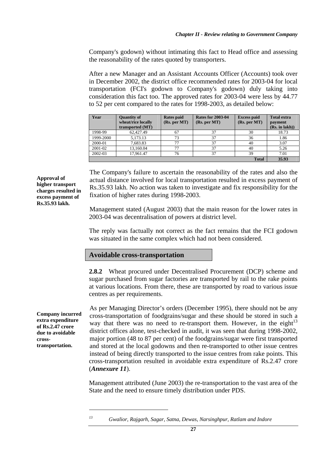Company's godown) without intimating this fact to Head office and assessing the reasonability of the rates quoted by transporters.

After a new Manager and an Assistant Accounts Officer (Accounts) took over in December 2002, the district office recommended rates for 2003-04 for local transportation (FCI's godown to Company's godown) duly taking into consideration this fact too. The approved rates for 2003-04 were less by 44.77 to 52 per cent compared to the rates for 1998-2003, as detailed below:

| Year      | <b>Quantity of</b><br>wheat/rice locally<br>transported (MT) | <b>Rates paid</b><br>(Rs. per MT) | <b>Rates for 2003-04</b><br>(Rs. per MT) | <b>Excess paid</b><br>(Rs. per MT) | <b>Total extra</b><br>payment<br>(Rs. in lakh) |
|-----------|--------------------------------------------------------------|-----------------------------------|------------------------------------------|------------------------------------|------------------------------------------------|
| 1998-99   | 62,427.49                                                    | 67                                | 37                                       | 30                                 | 18.73                                          |
| 1999-2000 | 5,173.13                                                     | 73                                | 37                                       | 36                                 | 1.86                                           |
| 2000-01   | 7.683.83                                                     | 77                                | 37                                       | 40                                 | 3.07                                           |
| 2001-02   | 13.160.04                                                    | 77                                | 37                                       | 40                                 | 5.26                                           |
| 2002-03   | 17.961.47                                                    | 76                                | 37                                       | 39                                 | 7.01                                           |
|           |                                                              |                                   |                                          | <b>Total</b>                       | 35.93                                          |

The Company's failure to ascertain the reasonability of the rates and also the actual distance involved for local transportation resulted in excess payment of Rs.35.93 lakh. No action was taken to investigate and fix responsibility for the fixation of higher rates during 1998-2003.

Management stated (August 2003) that the main reason for the lower rates in 2003-04 was decentralisation of powers at district level.

The reply was factually not correct as the fact remains that the FCI godown was situated in the same complex which had not been considered.

#### **Avoidable cross-transportation**

**2.8.2** Wheat procured under Decentralised Procurement (DCP) scheme and sugar purchased from sugar factories are transported by rail to the rake points at various locations. From there, these are transported by road to various issue centres as per requirements.

As per Managing Director's orders (December 1995), there should not be any cross-transportation of foodgrains/sugar and these should be stored in such a way that there was no need to re-transport them. However, in the eight $13$ district offices alone, test-checked in audit, it was seen that during 1998-2002, major portion (48 to 87 per cent) of the foodgrains/sugar were first transported and stored at the local godowns and then re-transported to other issue centres instead of being directly transported to the issue centres from rake points. This cross-transportation resulted in avoidable extra expenditure of Rs.2.47 crore (*Annexure 11*).

Management attributed (June 2003) the re-transportation to the vast area of the State and the need to ensure timely distribution under PDS.

*13 Gwalior, Rajgarh, Sagar, Satna, Dewas, Narsinghpur, Ratlam and Indore* 

**Approval of higher transport charges resulted in excess payment of Rs.35.93 lakh.** 

**Company incurred extra expenditure of Rs.2.47 crore due to avoidable crosstransportation.**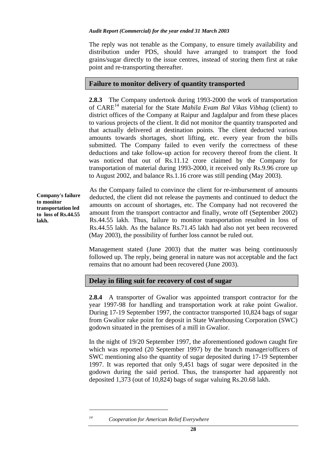#### *Audit Report (Commercial) for the year ended 31 March 2003*

The reply was not tenable as the Company, to ensure timely availability and distribution under PDS, should have arranged to transport the food grains/sugar directly to the issue centres, instead of storing them first at rake point and re-transporting thereafter.

# **Failure to monitor delivery of quantity transported**

**2.8.3** The Company undertook during 1993-2000 the work of transportation of CARE14 material for the State *Mahila Evam Bal Vikas Vibhag* (client) to district offices of the Company at Raipur and Jagdalpur and from these places to various projects of the client. It did not monitor the quantity transported and that actually delivered at destination points. The client deducted various amounts towards shortages, short lifting, etc. every year from the bills submitted. The Company failed to even verify the correctness of these deductions and take follow-up action for recovery thereof from the client. It was noticed that out of Rs.11.12 crore claimed by the Company for transportation of material during 1993-2000, it received only Rs.9.96 crore up to August 2002, and balance Rs.1.16 crore was still pending (May 2003).

**Company's failure to monitor transportation led to loss of Rs.44.55 lakh.** 

As the Company failed to convince the client for re-imbursement of amounts deducted, the client did not release the payments and continued to deduct the amounts on account of shortages, etc. The Company had not recovered the amount from the transport contractor and finally, wrote off (September 2002) Rs.44.55 lakh. Thus, failure to monitor transportation resulted in loss of Rs.44.55 lakh. As the balance Rs.71.45 lakh had also not yet been recovered (May 2003), the possibility of further loss cannot be ruled out.

Management stated (June 2003) that the matter was being continuously followed up. The reply, being general in nature was not acceptable and the fact remains that no amount had been recovered (June 2003).

# **Delay in filing suit for recovery of cost of sugar**

**2.8.4** A transporter of Gwalior was appointed transport contractor for the year 1997-98 for handling and transportation work at rake point Gwalior. During 17-19 September 1997, the contractor transported 10,824 bags of sugar from Gwalior rake point for deposit in State Warehousing Corporation (SWC) godown situated in the premises of a mill in Gwalior.

In the night of 19/20 September 1997, the aforementioned godown caught fire which was reported (20 September 1997) by the branch manager/officers of SWC mentioning also the quantity of sugar deposited during 17-19 September 1997. It was reported that only 9,451 bags of sugar were deposited in the godown during the said period. Thus, the transporter had apparently not deposited 1,373 (out of 10,824) bags of sugar valuing Rs.20.68 lakh.

 $\overline{a}$ 

*<sup>14</sup> Cooperation for American Relief Everywhere*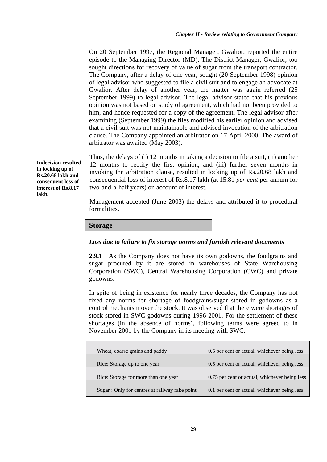On 20 September 1997, the Regional Manager, Gwalior, reported the entire episode to the Managing Director (MD). The District Manager, Gwalior, too sought directions for recovery of value of sugar from the transport contractor. The Company, after a delay of one year, sought (20 September 1998) opinion of legal advisor who suggested to file a civil suit and to engage an advocate at Gwalior. After delay of another year, the matter was again referred (25 September 1999) to legal advisor. The legal advisor stated that his previous opinion was not based on study of agreement, which had not been provided to him, and hence requested for a copy of the agreement. The legal advisor after examining (September 1999) the files modified his earlier opinion and advised that a civil suit was not maintainable and advised invocation of the arbitration clause. The Company appointed an arbitrator on 17 April 2000. The award of arbitrator was awaited (May 2003).

Thus, the delays of (i) 12 months in taking a decision to file a suit, (ii) another 12 months to rectify the first opinion, and (iii) further seven months in invoking the arbitration clause, resulted in locking up of Rs.20.68 lakh and consequential loss of interest of Rs.8.17 lakh (at 15.81 *per cent* per annum for two-and-a-half years) on account of interest.

Management accepted (June 2003) the delays and attributed it to procedural formalities.

**Storage** 

### *Loss due to failure to fix storage norms and furnish relevant documents*

**2.9.1** As the Company does not have its own godowns, the foodgrains and sugar procured by it are stored in warehouses of State Warehousing Corporation (SWC), Central Warehousing Corporation (CWC) and private godowns.

In spite of being in existence for nearly three decades, the Company has not fixed any norms for shortage of foodgrains/sugar stored in godowns as a control mechanism over the stock. It was observed that there were shortages of stock stored in SWC godowns during 1996-2001. For the settlement of these shortages (in the absence of norms), following terms were agreed to in November 2001 by the Company in its meeting with SWC:

| Wheat, coarse grains and paddy                 | 0.5 per cent or actual, whichever being less  |
|------------------------------------------------|-----------------------------------------------|
| Rice: Storage up to one year                   | 0.5 per cent or actual, whichever being less  |
| Rice: Storage for more than one year           | 0.75 per cent or actual, whichever being less |
| Sugar : Only for centres at railway rake point | 0.1 per cent or actual, whichever being less  |

**Indecision resulted in locking up of Rs.20.68 lakh and consequent loss of interest of Rs.8.17 lakh.**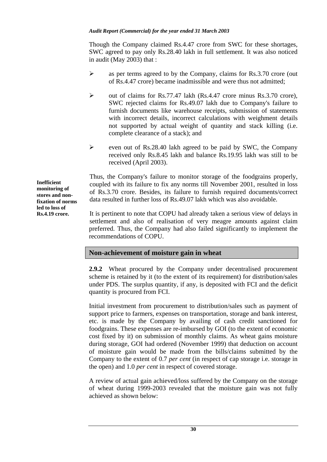#### *Audit Report (Commercial) for the year ended 31 March 2003*

Though the Company claimed Rs.4.47 crore from SWC for these shortages, SWC agreed to pay only Rs.28.40 lakh in full settlement. It was also noticed in audit (May 2003) that :

- $\triangleright$  as per terms agreed to by the Company, claims for Rs.3.70 crore (out of Rs.4.47 crore) became inadmissible and were thus not admitted;
- $\triangleright$  out of claims for Rs.77.47 lakh (Rs.4.47 crore minus Rs.3.70 crore), SWC rejected claims for Rs.49.07 lakh due to Company's failure to furnish documents like warehouse receipts, submission of statements with incorrect details, incorrect calculations with weighment details not supported by actual weight of quantity and stack killing (i.e. complete clearance of a stack); and
- ! even out of Rs.28.40 lakh agreed to be paid by SWC, the Company received only Rs.8.45 lakh and balance Rs.19.95 lakh was still to be received (April 2003).

Thus, the Company's failure to monitor storage of the foodgrains properly, coupled with its failure to fix any norms till November 2001, resulted in loss of Rs.3.70 crore. Besides, its failure to furnish required documents/correct data resulted in further loss of Rs.49.07 lakh which was also avoidable.

It is pertinent to note that COPU had already taken a serious view of delays in settlement and also of realisation of very meagre amounts against claim preferred. Thus, the Company had also failed significantly to implement the recommendations of COPU.

### **Non-achievement of moisture gain in wheat**

**2.9.2** Wheat procured by the Company under decentralised procurement scheme is retained by it (to the extent of its requirement) for distribution/sales under PDS. The surplus quantity, if any, is deposited with FCI and the deficit quantity is procured from FCI.

Initial investment from procurement to distribution/sales such as payment of support price to farmers, expenses on transportation, storage and bank interest, etc. is made by the Company by availing of cash credit sanctioned for foodgrains. These expenses are re-imbursed by GOI (to the extent of economic cost fixed by it) on submission of monthly claims. As wheat gains moisture during storage, GOI had ordered (November 1999) that deduction on account of moisture gain would be made from the bills/claims submitted by the Company to the extent of 0.7 *per cent* (in respect of cap storage i.e. storage in the open) and 1.0 *per cent* in respect of covered storage.

A review of actual gain achieved/loss suffered by the Company on the storage of wheat during 1999-2003 revealed that the moisture gain was not fully achieved as shown below:

**Inefficient monitoring of stores and nonfixation of norms led to loss of Rs.4.19 crore.**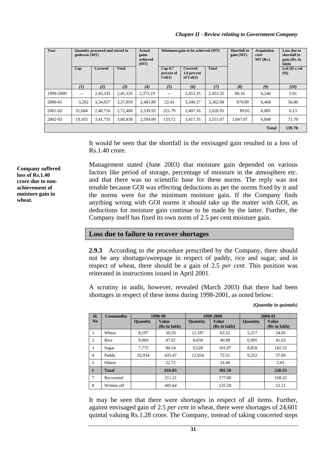#### *Chapter II - Review relating to Government Company*

| Year         | <b>Ouantity procured and stored in</b><br>godowns (MT) |          |              | Actual<br>gains<br>achieved<br>(MT) | Minimum gain to be achieved (MT)                  |                                              |              | <b>Shortfall</b> in<br>gain(MT) | <b>Acquisition</b><br>cost/<br>$MT$ (Rs.) | Loss due to<br>shortfall in<br>gain (Rs. in<br>lakh)             |
|--------------|--------------------------------------------------------|----------|--------------|-------------------------------------|---------------------------------------------------|----------------------------------------------|--------------|---------------------------------|-------------------------------------------|------------------------------------------------------------------|
|              | Cap                                                    | Covered  | <b>Total</b> |                                     | Cap <sub>0.7</sub><br><i>percent</i> of<br>Col(1) | <b>Covered</b><br>1.0 percent<br>of $Col(2)$ | <b>Total</b> |                                 |                                           | $\left(\text{col}\left(8\right) \times \text{col}\right)$<br>(9) |
|              | (I)                                                    | (2)      | (3)          | (4)                                 | (5)                                               | (6)                                          | (7)          | (8)                             | (9)                                       | (10)                                                             |
| 1999-2000    | $\hspace{0.05cm} -$                                    | 2,45,335 | 2,45,335     | 2.373.19                            | $\overline{\phantom{m}}$                          | 2,453.35                                     | 2.453.35     | 80.16                           | 6,246                                     | 5.01                                                             |
| 2000-01      | 3,202                                                  | 3.34.057 | 3,37,059     | 2,483.89                            | 22.41                                             | 3.340.57                                     | 3,362.98     | 879.09                          | 6,468                                     | 56.86                                                            |
| $2001 - 02$  | 31,684                                                 | 2,40,716 | 2.72.400     | 2,539.93                            | 221.79                                            | 2,407.16                                     | 2,628.95     | 89.02                           | 6,885                                     | 6.13                                                             |
| 2002-03      | 19,103                                                 | 3,41,735 | 3,60,838     | 2,504.00                            | 133.72                                            | 3.417.35                                     | 3,551.07     | 1.047.07                        | 6.848                                     | 71.70                                                            |
| <b>Total</b> |                                                        |          |              |                                     |                                                   |                                              |              |                                 | 139.70                                    |                                                                  |

It would be seen that the shortfall in the envisaged gain resulted in a loss of Rs.1.40 crore.

Management stated (June 2003) that moisture gain depended on various factors like period of storage, percentage of moisture in the atmosphere etc. and that there was no scientific base for these norms. The reply was not tenable because GOI was effecting deductions as per the norms fixed by it and the norms were for the minimum moisture gain. If the Company finds anything wrong with GOI norms it should take up the matter with GOI, as deductions for moisture gain continue to be made by the latter. Further, the Company itself has fixed its own norm of 2.5 per cent moisture gain.

#### **Loss due to failure to recover shortages**

**2.9.3** According to the procedure prescribed by the Company, there should not be any shortage/sweepage in respect of paddy, rice and sugar, and in respect of wheat, there should be a gain of 2.5 *per cent*. This position was reiterated in instructions issued in April 2001.

A scrutiny in audit, however, revealed (March 2003) that there had been shortages in respect of these items during 1998-2001, as noted below:

*(Quantity in quintals)* 

| SI.            | <b>Commodity</b> | 1998-99         |                              |          | 1999-2000                    | 2000-01         |                              |
|----------------|------------------|-----------------|------------------------------|----------|------------------------------|-----------------|------------------------------|
| No             |                  | <b>Quantity</b> | <b>Value</b><br>(Rs in lakh) | Quantity | <b>Value</b><br>(Rs in lakh) | <b>Quantity</b> | <b>Value</b><br>(Rs in lakh) |
|                | Wheat            | 8,197           | 30.20                        | 11,187   | 63.52                        | 5,217           | 34.05                        |
| 2              | Rice             | 9.069           | 47.92                        | 8.050    | 40.99                        | 6.995           | 41.63                        |
| 3              | Sugar            | 7,775           | 80.54                        | 9,528    | 101.07                       | 8,858           | 102.55                       |
| $\overline{4}$ | Paddy            | 92.934          | 435.47                       | 13.934   | 72.51                        | 9,252           | 37.09                        |
| 5              | Others           |                 | 22.72                        |          | 24.49                        |                 | 5.01                         |
| 6              | <b>Total</b>     |                 | 616.85                       |          | 302.58                       |                 | 220.33                       |
| 7              | Recovered        |                 | 211.21                       |          | 177.00                       |                 | 168.22                       |
| 8              | Written off      |                 | 405.64                       |          | 125.58                       |                 | 52.11                        |

It may be seen that there were shortages in respect of all items. Further, against envisaged gain of 2.5 *per cent* in wheat, there were shortages of 24,601 quintal valuing Rs.1.28 crore. The Company, instead of taking concerted steps

**Company suffered loss of Rs.1.40 crore due to nonachievement of moisture gain in wheat.**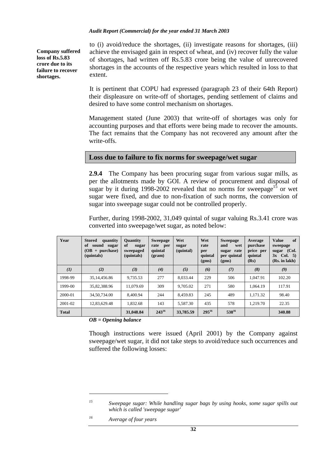#### *Audit Report (Commercial) for the year ended 31 March 2003*

**Company suffered loss of Rs.5.83 crore due to its failure to recover shortages.** 

to (i) avoid/reduce the shortages, (ii) investigate reasons for shortages, (iii) achieve the envisaged gain in respect of wheat, and (iv) recover fully the value of shortages, had written off Rs.5.83 crore being the value of unrecovered shortages in the accounts of the respective years which resulted in loss to that extent.

It is pertinent that COPU had expressed (paragraph 23 of their 64th Report) their displeasure on write-off of shortages, pending settlement of claims and desired to have some control mechanism on shortages.

Management stated (June 2003) that write-off of shortages was only for accounting purposes and that efforts were being made to recover the amounts. The fact remains that the Company has not recovered any amount after the write-offs.

### **Loss due to failure to fix norms for sweepage/wet sugar**

**2.9.4** The Company has been procuring sugar from various sugar mills, as per the allotments made by GOI. A review of procurement and disposal of sugar by it during 1998-2002 revealed that no norms for sweepage<sup>15</sup> or wet sugar were fixed, and due to non-fixation of such norms, the conversion of sugar into sweepage sugar could not be controlled properly.

Further, during 1998-2002, 31,049 quintal of sugar valuing Rs.3.41 crore was converted into sweepage/wet sugar, as noted below:

| Year         | <b>Stored</b><br>quantity<br>sound sugar<br>of<br>$(OB + purchase)$<br>(quintals) | <b>Quantity</b><br>of<br>sugar<br>sweepaged<br>(quintals) | <b>Sweepage</b><br>rate per<br>quintal<br>(gram) | Wet<br>sugar<br>(quintal) | Wet<br>rate<br>per<br>quintal<br>(gms) | <b>Sweepage</b><br>and<br>wet<br>rate<br>sugar<br>per quintal<br>(gms) | Average<br>purchase<br>price per<br>quintal<br>(Rs) | of<br><b>Value</b><br>sweepage<br>sugar (Col.<br>$3x$ Col. 5)<br>(Rs. in lakh) |
|--------------|-----------------------------------------------------------------------------------|-----------------------------------------------------------|--------------------------------------------------|---------------------------|----------------------------------------|------------------------------------------------------------------------|-----------------------------------------------------|--------------------------------------------------------------------------------|
| (I)          | (2)                                                                               | (3)                                                       | (4)                                              | (5)                       | (6)                                    | (7)                                                                    | (8)                                                 | (9)                                                                            |
| 1998-99      | 35,14,456.86                                                                      | 9,735.53                                                  | 277                                              | 8.033.44                  | 229                                    | 506                                                                    | 1.047.91                                            | 102.20                                                                         |
| 1999-00      | 35,82,388.96                                                                      | 11,079.69                                                 | 309                                              | 9,705.02                  | 271                                    | 580                                                                    | 1.064.19                                            | 117.91                                                                         |
| 2000-01      | 34,50,734,00                                                                      | 8.400.94                                                  | 244                                              | 8.459.83                  | 245                                    | 489                                                                    | 1.171.32                                            | 98.40                                                                          |
| 2001-02      | 12,83,629.48                                                                      | 1,832.68                                                  | 143                                              | 5.587.30                  | 435                                    | 578                                                                    | 1.219.70                                            | 22.35                                                                          |
| <b>Total</b> |                                                                                   | 31,048.84                                                 | $243^{16}$                                       | 33,785.59                 | $295^{16}$                             | $538^{16}$                                                             |                                                     | 340.88                                                                         |

*OB = Opening balance* 

Though instructions were issued (April 2001) by the Company against sweepage/wet sugar, it did not take steps to avoid/reduce such occurrences and suffered the following losses:

*<sup>15</sup> Sweepage sugar: While handling sugar bags by using hooks, some sugar spills out which is called 'sweepage sugar'* 

*<sup>16</sup> Average of four years*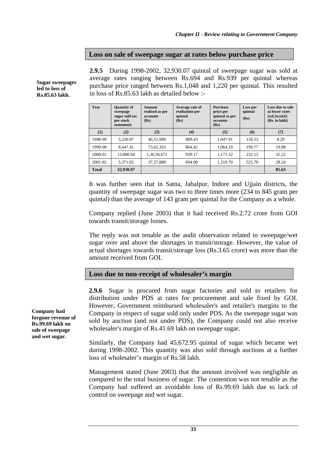### **Loss on sale of sweepage sugar at rates below purchase price**

**2.9.5** During 1998-2002, 32,930.07 quintal of sweepage sugar was sold at average rates ranging between Rs.694 and Rs.939 per quintal whereas purchase price ranged between Rs.1,048 and 1,220 per quintal. This resulted in loss of Rs.85.63 lakh as detailed below :-

| Year         | <b>Quantity of</b><br>Average rate of<br>Amount<br>realisation per<br>realised as per<br>sweepage<br>quintal<br>sugar sold (as<br><b>accounts</b><br>per stock<br>(Rs)<br>(Rs)<br>statement) |             | <b>Purchase</b><br>price per<br>quintal as per<br>accounts<br>(Rs) | Loss per<br>quintal<br>(Rs) | Loss due to sale<br>at lower rates<br>(col.2xcol.6)<br>(Rs. in lakh) |       |
|--------------|----------------------------------------------------------------------------------------------------------------------------------------------------------------------------------------------|-------------|--------------------------------------------------------------------|-----------------------------|----------------------------------------------------------------------|-------|
| (I)          | (2)                                                                                                                                                                                          | (3)         | (4)                                                                | (5)                         | (6)                                                                  | (7)   |
| 1998-99      | 5.230.07                                                                                                                                                                                     | 46,51,989   | 889.43                                                             | 1,047.91                    | 158.53                                                               | 8.29  |
| 1999-00      | 8.447.41                                                                                                                                                                                     | 73,02,163   | 864.42                                                             | 1.064.19                    | 199.77                                                               | 19.88 |
| 2000-01      | 13,880.94                                                                                                                                                                                    | 1,30,36,671 | 939.17                                                             | 1.171.32                    | 232.15                                                               | 32.22 |
| $2001 - 02$  | 5.371.65                                                                                                                                                                                     | 37,27,888   | 694.00                                                             | 1,219.70                    | 525.70                                                               | 28.24 |
| <b>Total</b> | 32,930.07                                                                                                                                                                                    |             |                                                                    |                             |                                                                      | 85.63 |

It was further seen that in Satna, Jabalpur, Indore and Ujjain districts, the quantity of sweepage sugar was two to three times more (234 to 845 gram per quintal) than the average of 143 gram per quintal for the Company as a whole.

Company replied (June 2003) that it had received Rs.2.72 crore from GOI towards transit/storage losses.

The reply was not tenable as the audit observation related to sweepage/wet sugar over and above the shortages in transit/storage. However, the value of actual shortages towards transit/storage loss (Rs.3.65 crore) was more than the amount received from GOI.

# **Loss due to non-receipt of wholesaler's margin**

**2.9.6** Sugar is procured from sugar factories and sold to retailers for distribution under PDS at rates for procurement and sale fixed by GOI. However, Government reimbursed wholesaler's and retailer's margins to the Company in respect of sugar sold only under PDS. As the sweepage sugar was sold by auction (and not under PDS), the Company could not also receive wholesaler's margin of Rs.41.69 lakh on sweepage sugar.

Similarly, the Company had 45,672.95 quintal of sugar which became wet during 1998-2002. This quantity was also sold through auctions at a further loss of wholesaler's margin of Rs.58 lakh.

Management stated (June 2003) that the amount involved was negligible as compared to the total business of sugar. The contention was not tenable as the Company had suffered an avoidable loss of Rs.99.69 lakh due to lack of control on sweepage and wet sugar.

**Company had forgone revenue of Rs.99.69 lakh on sale of sweepage and wet sugar.** 

**Sugar sweepages led to loss of Rs.85.63 lakh.**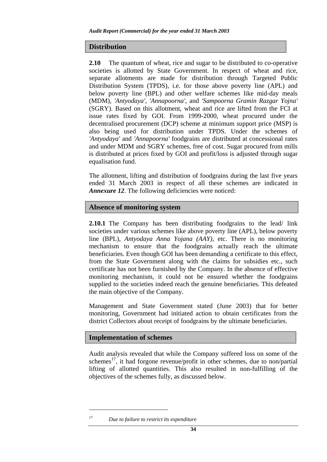#### **Distribution**

**2.10** The quantum of wheat, rice and sugar to be distributed to co-operative societies is allotted by State Government. In respect of wheat and rice, separate allotments are made for distribution through Targeted Public Distribution System (TPDS), i.e. for those above poverty line (APL) and below poverty line (BPL) and other welfare schemes like mid-day meals (MDM), *'Antyodaya', 'Annapoorna'*, and *'Sampoorna Gramin Razgar Yojna'* (SGRY). Based on this allotment, wheat and rice are lifted from the FCI at issue rates fixed by GOI. From 1999-2000, wheat procured under the decentralised procurement (DCP) scheme at minimum support price (MSP) is also being used for distribution under TPDS. Under the schemes of *'Antyodaya'* and *'Annapoorna'* foodgrains are distributed at concessional rates and under MDM and SGRY schemes, free of cost. Sugar procured from mills is distributed at prices fixed by GOI and profit/loss is adjusted through sugar equalisation fund.

The allotment, lifting and distribution of foodgrains during the last five years ended 31 March 2003 in respect of all these schemes are indicated in *Annexure 12.* The following deficiencies were noticed:

### **Absence of monitoring system**

**2.10.1** The Company has been distributing foodgrains to the lead/ link societies under various schemes like above poverty line (APL), below poverty line (BPL), *Antyodaya Anna Yojana (AAY),* etc. There is no monitoring mechanism to ensure that the foodgrains actually reach the ultimate beneficiaries. Even though GOI has been demanding a certificate to this effect, from the State Government along with the claims for subsidies etc., such certificate has not been furnished by the Company. In the absence of effective monitoring mechanism, it could not be ensured whether the foodgrains supplied to the societies indeed reach the genuine beneficiaries. This defeated the main objective of the Company.

Management and State Government stated (June 2003) that for better monitoring, Government had initiated action to obtain certificates from the district Collectors about receipt of foodgrains by the ultimate beneficiaries.

### **Implementation of schemes**

 $\overline{a}$ 

Audit analysis revealed that while the Company suffered loss on some of the schemes<sup>17</sup>, it had forgone revenue/profit in other schemes, due to non/partial lifting of allotted quantities. This also resulted in non-fulfilling of the objectives of the schemes fully, as discussed below.

*<sup>17</sup> Due to failure to restrict its expenditure*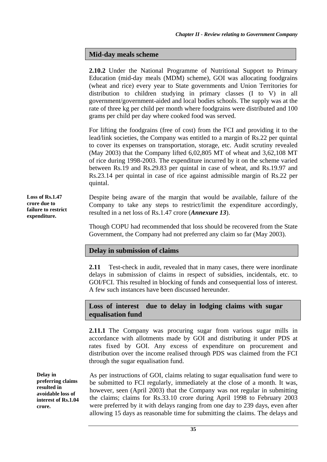### **Mid-day meals scheme**

**2.10.2** Under the National Programme of Nutritional Support to Primary Education (mid-day meals (MDM) scheme), GOI was allocating foodgrains (wheat and rice) every year to State governments and Union Territories for distribution to children studying in primary classes (I to V) in all government/government-aided and local bodies schools. The supply was at the rate of three kg per child per month where foodgrains were distributed and 100 grams per child per day where cooked food was served.

For lifting the foodgrains (free of cost) from the FCI and providing it to the lead/link societies, the Company was entitled to a margin of Rs.22 per quintal to cover its expenses on transportation, storage, etc. Audit scrutiny revealed (May 2003) that the Company lifted 6,02,805 MT of wheat and 3,62,108 MT of rice during 1998-2003. The expenditure incurred by it on the scheme varied between Rs.19 and Rs.29.83 per quintal in case of wheat, and Rs.19.97 and Rs.23.14 per quintal in case of rice against admissible margin of Rs.22 per quintal.

Despite being aware of the margin that would be available, failure of the Company to take any steps to restrict/limit the expenditure accordingly, resulted in a net loss of Rs.1.47 crore (*Annexure 13*).

Though COPU had recommended that loss should be recovered from the State Government, the Company had not preferred any claim so far (May 2003).

### **Delay in submission of claims**

**2.11** Test-check in audit, revealed that in many cases, there were inordinate delays in submission of claims in respect of subsidies, incidentals, etc. to GOI/FCI. This resulted in blocking of funds and consequential loss of interest. A few such instances have been discussed hereunder.

# **Loss of interest due to delay in lodging claims with sugar equalisation fund**

**2.11.1** The Company was procuring sugar from various sugar mills in accordance with allotments made by GOI and distributing it under PDS at rates fixed by GOI. Any excess of expenditure on procurement and distribution over the income realised through PDS was claimed from the FCI through the sugar equalisation fund.

**Delay in preferring claims resulted in avoidable loss of interest of Rs.1.04 crore.** 

As per instructions of GOI, claims relating to sugar equalisation fund were to be submitted to FCI regularly, immediately at the close of a month. It was, however, seen (April 2003) that the Company was not regular in submitting the claims; claims for Rs.33.10 crore during April 1998 to February 2003 were preferred by it with delays ranging from one day to 239 days, even after allowing 15 days as reasonable time for submitting the claims. The delays and

**Loss of Rs.1.47 crore due to failure to restrict expenditure.**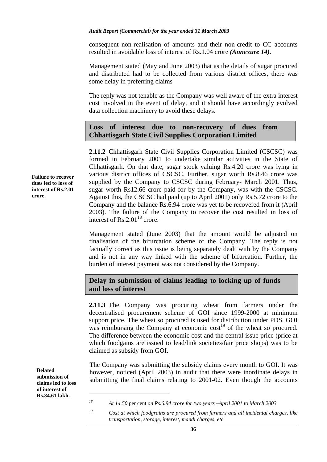#### *Audit Report (Commercial) for the year ended 31 March 2003*

consequent non-realisation of amounts and their non-credit to CC accounts resulted in avoidable loss of interest of Rs.1.04 crore *(Annexure 14).*

Management stated (May and June 2003) that as the details of sugar procured and distributed had to be collected from various district offices, there was some delay in preferring claims

The reply was not tenable as the Company was well aware of the extra interest cost involved in the event of delay, and it should have accordingly evolved data collection machinery to avoid these delays.

# **Loss of interest due to non-recovery of dues from Chhattisgarh State Civil Supplies Corporation Limited**

**2.11.2** Chhattisgarh State Civil Supplies Corporation Limited (CSCSC) was formed in February 2001 to undertake similar activities in the State of Chhattisgarh. On that date, sugar stock valuing Rs.4.20 crore was lying in various district offices of CSCSC. Further, sugar worth Rs.8.46 crore was supplied by the Company to CSCSC during February- March 2001. Thus, sugar worth Rs12.66 crore paid for by the Company, was with the CSCSC. Against this, the CSCSC had paid (up to April 2001) only Rs.5.72 crore to the Company and the balance Rs.6.94 crore was yet to be recovered from it (April 2003). The failure of the Company to recover the cost resulted in loss of interest of  $\text{Rs} 2.01^{18}$  crore.

Management stated (June 2003) that the amount would be adjusted on finalisation of the bifurcation scheme of the Company. The reply is not factually correct as this issue is being separately dealt with by the Company and is not in any way linked with the scheme of bifurcation. Further, the burden of interest payment was not considered by the Company.

### **Delay in submission of claims leading to locking up of funds and loss of interest**

**2.11.3** The Company was procuring wheat from farmers under the decentralised procurement scheme of GOI since 1999-2000 at minimum support price. The wheat so procured is used for distribution under PDS. GOI was reimbursing the Company at economic  $cost<sup>19</sup>$  of the wheat so procured. The difference between the economic cost and the central issue price (price at which foodgains are issued to lead/link societies/fair price shops) was to be claimed as subsidy from GOI.

The Company was submitting the subsidy claims every month to GOI. It was however, noticed (April 2003) in audit that there were inordinate delays in submitting the final claims relating to 2001-02. Even though the accounts

**Belated submission of claims led to loss of interest of Rs.34.61 lakh.** 

 $\overline{a}$ 

**Failure to recover dues led to loss of interest of Rs.2.01 crore.** 

*<sup>18</sup> At 14.50* per cent *on Rs.6.94 crore for two years –April 2001 to March 2003* 

*<sup>19</sup> Cost at which foodgrains are procured from farmers and all incidental charges, like transportation, storage, interest, mandi charges, etc.*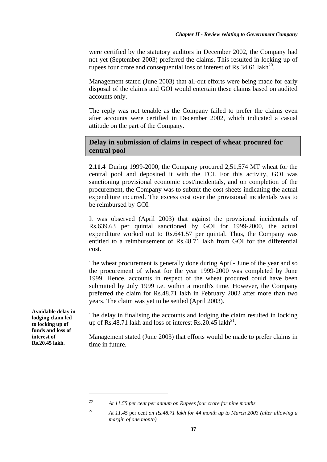were certified by the statutory auditors in December 2002, the Company had not yet (September 2003) preferred the claims. This resulted in locking up of rupees four crore and consequential loss of interest of  $\text{Rs.}34.61$  lakh<sup>20</sup>.

Management stated (June 2003) that all-out efforts were being made for early disposal of the claims and GOI would entertain these claims based on audited accounts only.

The reply was not tenable as the Company failed to prefer the claims even after accounts were certified in December 2002, which indicated a casual attitude on the part of the Company.

# **Delay in submission of claims in respect of wheat procured for central pool**

**2.11.4** During 1999-2000, the Company procured 2,51,574 MT wheat for the central pool and deposited it with the FCI. For this activity, GOI was sanctioning provisional economic cost/incidentals, and on completion of the procurement, the Company was to submit the cost sheets indicating the actual expenditure incurred. The excess cost over the provisional incidentals was to be reimbursed by GOI.

It was observed (April 2003) that against the provisional incidentals of Rs.639.63 per quintal sanctioned by GOI for 1999-2000, the actual expenditure worked out to Rs.641.57 per quintal. Thus, the Company was entitled to a reimbursement of Rs.48.71 lakh from GOI for the differential cost.

The wheat procurement is generally done during April- June of the year and so the procurement of wheat for the year 1999-2000 was completed by June 1999. Hence, accounts in respect of the wheat procured could have been submitted by July 1999 i.e. within a month's time. However, the Company preferred the claim for Rs.48.71 lakh in February 2002 after more than two years. The claim was yet to be settled (April 2003).

The delay in finalising the accounts and lodging the claim resulted in locking up of Rs.48.71 lakh and loss of interest Rs.20.45 lakh<sup>21</sup>.

Management stated (June 2003) that efforts would be made to prefer claims in time in future.

**Avoidable delay in lodging claim led to locking up of funds and loss of interest of Rs.20.45 lakh.** 

*<sup>20</sup> At 11.55 per cent per annum on Rupees four crore for nine months* 

*<sup>21</sup> At 11.45* per cent *on Rs.48.71 lakh for 44 month up to March 2003 (after allowing a margin of one month)*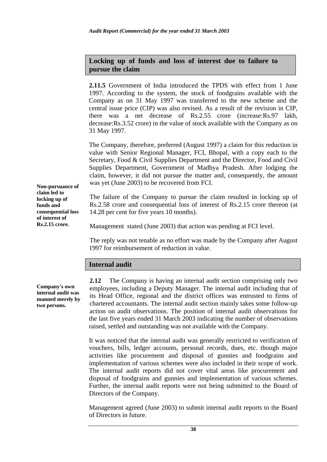# **Locking up of funds and loss of interest due to failure to pursue the claim**

**2.11.5** Government of India introduced the TPDS with effect from 1 June 1997. According to the system, the stock of foodgrains available with the Company as on 31 May 1997 was transferred to the new scheme and the central issue price (CIP) was also revised. As a result of the revision in CIP, there was a net decrease of Rs.2.55 crore (increase:Rs.97 lakh, decrease:Rs.3.52 crore) in the value of stock available with the Company as on 31 May 1997.

The Company, therefore, preferred (August 1997) a claim for this reduction in value with Senior Regional Manager, FCI, Bhopal, with a copy each to the Secretary, Food & Civil Supplies Department and the Director, Food and Civil Supplies Department, Government of Madhya Pradesh. After lodging the claim, however, it did not pursue the matter and, consequently, the amount was yet (June 2003) to be recovered from FCI.

The failure of the Company to pursue the claim resulted in locking up of Rs.2.58 crore and consequential loss of interest of Rs.2.15 crore thereon (at 14.28 per cent for five years 10 months).

Management stated (June 2003) that action was pending at FCI level.

The reply was not tenable as no effort was made by the Company after August 1997 for reimbursement of reduction in value.

# **Internal audit**

**2.12** The Company is having an internal audit section comprising only two employees, including a Deputy Manager. The internal audit including that of its Head Office, regional and the district offices was entrusted to firms of chartered accountants. The internal audit section mainly takes some follow-up action on audit observations. The position of internal audit observations for the last five years ended 31 March 2003 indicating the number of observations raised, settled and outstanding was not available with the Company.

It was noticed that the internal audit was generally restricted to verification of vouchers, bills, ledger accounts, personal records, dues, etc. though major activities like procurement and disposal of gunnies and foodgrains and implementation of various schemes were also included in their scope of work. The internal audit reports did not cover vital areas like procurement and disposal of foodgrains and gunnies and implementation of various schemes. Further, the internal audit reports were not being submitted to the Board of Directors of the Company.

Management agreed (June 2003) to submit internal audit reports to the Board of Directors in future.

**Non-pursuance of claim led to locking up of funds and consequential loss of interest of Rs.2.15 crore.** 

**Company's own internal audit was manned merely by two persons.**